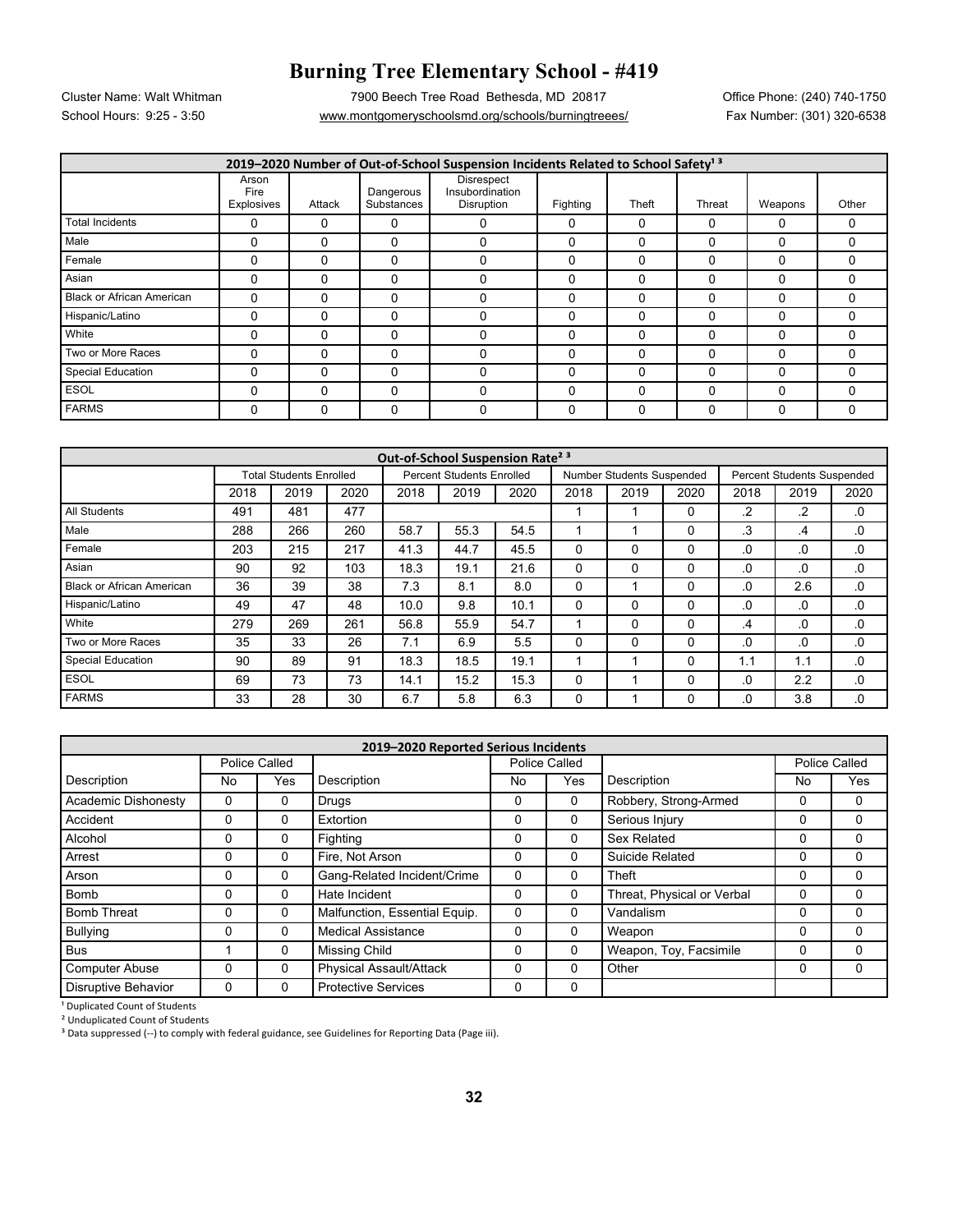## **Burning Tree Elementary School - #419**

School Hours: 9:25 - 3:50 www.montgomeryschoolsmd.org/schools/burningtreees/ Fax Number: (301) 320-6538 Cluster Name: Walt Whitman 7900 Beech Tree Road Bethesda, MD 20817 Office Phone: (240) 740-1750

| 2019-2020 Number of Out-of-School Suspension Incidents Related to School Safety <sup>13</sup> |                             |          |                         |                                                    |          |          |          |          |          |  |
|-----------------------------------------------------------------------------------------------|-----------------------------|----------|-------------------------|----------------------------------------------------|----------|----------|----------|----------|----------|--|
|                                                                                               | Arson<br>Fire<br>Explosives | Attack   | Dangerous<br>Substances | Disrespect<br>Insubordination<br><b>Disruption</b> | Fighting | Theft    | Threat   | Weapons  | Other    |  |
| <b>Total Incidents</b>                                                                        | 0                           | $\Omega$ | 0                       | 0                                                  | 0        | 0        |          | 0        | 0        |  |
| Male                                                                                          | $\Omega$                    | $\Omega$ | 0                       | $\Omega$                                           | $\Omega$ | 0        |          | $\Omega$ | 0        |  |
| Female                                                                                        | $\Omega$                    | $\Omega$ | 0                       | $\Omega$                                           | $\Omega$ | $\Omega$ |          | $\Omega$ | 0        |  |
| Asian                                                                                         | 0                           |          | 0                       | 0                                                  | $\Omega$ | 0        |          | 0        | 0        |  |
| <b>Black or African American</b>                                                              | $\Omega$                    |          | 0                       | 0                                                  | 0        | 0        |          |          | 0        |  |
| Hispanic/Latino                                                                               | $\Omega$                    | $\Omega$ | 0                       | $\Omega$                                           | $\Omega$ | $\Omega$ | $\Omega$ | $\Omega$ | $\Omega$ |  |
| White                                                                                         | 0                           |          | 0                       | 0                                                  | $\Omega$ | 0        |          | 0        | 0        |  |
| Two or More Races                                                                             | 0                           | 0        | 0                       | $\Omega$                                           | $\Omega$ | 0        | ſ        | $\Omega$ | $\Omega$ |  |
| <b>Special Education</b>                                                                      | 0                           |          | 0                       | $\Omega$                                           | $\Omega$ | 0        |          | $\Omega$ | 0        |  |
| <b>ESOL</b>                                                                                   | 0                           | 0        | 0                       | $\Omega$                                           | 0        | $\Omega$ |          | $\Omega$ | $\Omega$ |  |
| <b>FARMS</b>                                                                                  | $\Omega$                    | $\Omega$ | 0                       | $\Omega$                                           | $\Omega$ | $\Omega$ |          | $\Omega$ | $\Omega$ |  |

| Out-of-School Suspension Rate <sup>2 3</sup> |                                |      |      |                                  |      |      |                           |      |      |                                   |      |          |
|----------------------------------------------|--------------------------------|------|------|----------------------------------|------|------|---------------------------|------|------|-----------------------------------|------|----------|
|                                              | <b>Total Students Enrolled</b> |      |      | <b>Percent Students Enrolled</b> |      |      | Number Students Suspended |      |      | <b>Percent Students Suspended</b> |      |          |
|                                              | 2018                           | 2019 | 2020 | 2018                             | 2019 | 2020 | 2018                      | 2019 | 2020 | 2018                              | 2019 | 2020     |
| All Students                                 | 491                            | 481  | 477  |                                  |      |      |                           |      | 0    | .2                                | .2   | .0       |
| Male                                         | 288                            | 266  | 260  | 58.7                             | 55.3 | 54.5 |                           |      | 0    | .3                                | .4   | .0       |
| Female                                       | 203                            | 215  | 217  | 41.3                             | 44.7 | 45.5 |                           |      | 0    | .0                                | .0   | .0       |
| Asian                                        | 90                             | 92   | 103  | 18.3                             | 19.1 | 21.6 | 0                         | 0    | 0    | .0                                | .0   | .0       |
| <b>Black or African American</b>             | 36                             | 39   | 38   | 7.3                              | 8.1  | 8.0  | 0                         |      | 0    | .0                                | 2.6  | .0       |
| Hispanic/Latino                              | 49                             | 47   | 48   | 10.0                             | 9.8  | 10.1 | 0                         | 0    | 0    | .0                                | .0   | $\cdot$  |
| White                                        | 279                            | 269  | 261  | 56.8                             | 55.9 | 54.7 |                           | 0    | 0    | .4                                | .0   | .0       |
| Two or More Races                            | 35                             | 33   | 26   | 7.1                              | 6.9  | 5.5  |                           | 0    | 0    | .0                                | .0   | .0       |
| <b>Special Education</b>                     | 90                             | 89   | 91   | 18.3                             | 18.5 | 19.1 |                           |      | 0    | 1.1                               | 1.1  | .0       |
| <b>ESOL</b>                                  | 69                             | 73   | 73   | 14.1                             | 15.2 | 15.3 | 0                         |      | 0    | .0                                | 2.2  | $\Omega$ |
| <b>FARMS</b>                                 | 33                             | 28   | 30   | 6.7                              | 5.8  | 6.3  |                           |      | 0    | .0                                | 3.8  | .0       |

| 2019-2020 Reported Serious Incidents |              |               |                                |                      |          |                            |    |               |  |  |
|--------------------------------------|--------------|---------------|--------------------------------|----------------------|----------|----------------------------|----|---------------|--|--|
|                                      |              | Police Called |                                | <b>Police Called</b> |          |                            |    | Police Called |  |  |
| Description                          | No           | Yes           | Description                    | No                   | Yes      | Description                | No | Yes           |  |  |
| Academic Dishonesty                  | 0            | $\Omega$      | Drugs                          | 0                    | 0        | Robbery, Strong-Armed      | 0  | 0             |  |  |
| Accident                             | 0            | $\Omega$      | Extortion                      | 0                    | 0        | Serious Injury             | 0  | 0             |  |  |
| Alcohol                              | $\mathbf{0}$ | $\Omega$      | Fighting                       | 0                    | $\Omega$ | Sex Related                | 0  | 0             |  |  |
| Arrest                               | $\mathbf{0}$ | $\Omega$      | Fire, Not Arson                | 0                    | 0        | Suicide Related            | 0  | 0             |  |  |
| Arson                                | 0            | $\Omega$      | Gang-Related Incident/Crime    | 0                    | 0        | Theft                      | 0  | 0             |  |  |
| <b>Bomb</b>                          | 0            | $\Omega$      | Hate Incident                  | 0                    | $\Omega$ | Threat, Physical or Verbal | 0  | 0             |  |  |
| <b>Bomb Threat</b>                   | 0            | 0             | Malfunction, Essential Equip.  | 0                    | 0        | Vandalism                  | 0  | 0             |  |  |
| <b>Bullying</b>                      | 0            | $\Omega$      | <b>Medical Assistance</b>      | 0                    | 0        | Weapon                     | 0  | 0             |  |  |
| <b>Bus</b>                           |              | $\Omega$      | Missing Child                  | $\Omega$             | $\Omega$ | Weapon, Toy, Facsimile     | 0  | $\Omega$      |  |  |
| <b>Computer Abuse</b>                | 0            | $\Omega$      | <b>Physical Assault/Attack</b> | 0                    | 0        | Other                      | 0  | 0             |  |  |
| <b>Disruptive Behavior</b>           | 0            | 0             | <b>Protective Services</b>     | 0                    | 0        |                            |    |               |  |  |

<sup>1</sup> Duplicated Count of Students

² Unduplicated Count of Students

<sup>3</sup> Data suppressed (--) to comply with federal guidance, see Guidelines for Reporting Data (Page iii).